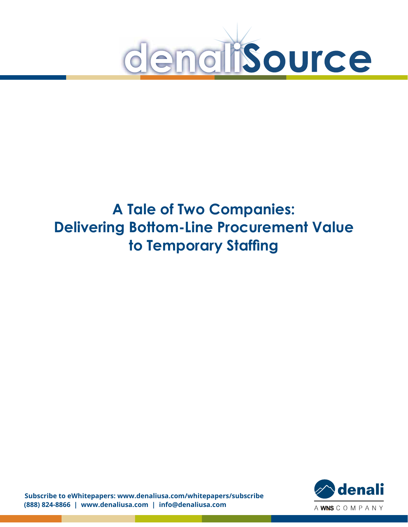

# **A Tale of Two Companies: Delivering Bottom-Line Procurement Value to Temporary Staffing**

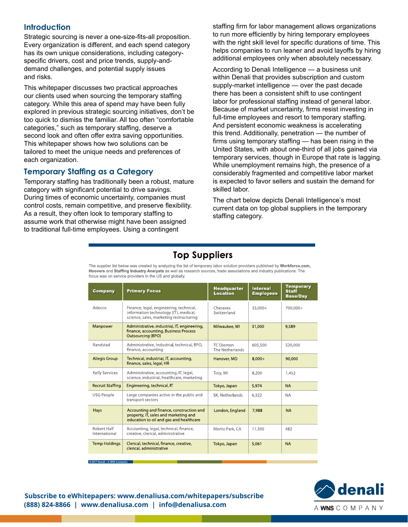#### **Introduction**

Strategic sourcing is never a one-size-fits-all proposition. Every organization is different, and each spend category has its own unique considerations, including categoryspecific drivers, cost and price trends, supply-anddemand challenges, and potential supply issues and risks.

This whitepaper discusses two practical approaches our clients used when sourcing the temporary staffing category. While this area of spend may have been fully explored in previous strategic sourcing initiatives, don't be too quick to dismiss the familiar. All too often "comfortable categories," such as temporary staffing, deserve a second look and often offer extra saving opportunities. This whitepaper shows how two solutions can be tailored to meet the unique needs and preferences of each organization.

#### **Temporary Staffing as a Category**

Temporary staffing has traditionally been a robust, mature category with significant potential to drive savings. During times of economic uncertainty, companies must control costs, remain competitive, and preserve flexibility. As a result, they often look to temporary staffing to assume work that otherwise might have been assigned to traditional full-time employees. Using a contingent

staffing firm for labor management allows organizations to run more efficiently by hiring temporary employees with the right skill level for specific durations of time. This helps companies to run leaner and avoid layoffs by hiring additional employees only when absolutely necessary.

According to Denali Intelligence — a business unit within Denali that provides subscription and custom supply-market intelligence — over the past decade there has been a consistent shift to use contingent labor for professional staffing instead of general labor. Because of market uncertainty, firms resist investing in full-time employees and resort to temporary staffing. And persistent economic weakness is accelerating this trend. Additionally, penetration — the number of firms using temporary staffing — has been rising in the United States, with about one-third of all jobs gained via temporary services, though in Europe that rate is lagging. While unemployment remains high, the presence of a considerably fragmented and competitive labor market is expected to favor sellers and sustain the demand for skilled labor.

The chart below depicts Denali Intelligence's most current data on top global suppliers in the temporary staffing category.

## **Top Suppliers**

The supplier list below was created by analyzing the list of temporary labor solution providers published by Workforce.com, Hoovers and Staffing Industry Analysts as well as research sources, trade associations and industry publications. The focus was on service providers in the US and globally.

| Company                      | <b>Primary Focus</b>                                                                                                         | <b>Headquarter</b><br><b>Location</b> | <b>Internal</b><br><b>Employees</b> | <b>Temporary</b><br><b>Staff</b><br><b>Base/Day</b> |
|------------------------------|------------------------------------------------------------------------------------------------------------------------------|---------------------------------------|-------------------------------------|-----------------------------------------------------|
| Adecco                       | Finance, legal, engineering, technical,<br>information technology (IT), medical,<br>science, sales, marketing restructuring  | Cheserex<br>Switzerland               | 33.000+<br>700.000+                 |                                                     |
| Manpower                     | Administrative, industrial, IT, engineering,<br>finance, accounting, Business Process<br><b>Outsourcing (BPO)</b>            | Milwaukee, WI                         | 31,000                              | 9,589                                               |
| Randstad                     | Administrative, industrial, technical, BPO,<br>finance, accounting                                                           | TC Diemen<br>The Netherlands          | 605,500                             | 520,000                                             |
| <b>Allegis Group</b>         | Technical, industrial, IT, accounting,<br>finance, sales, legal, HR                                                          | Hanover, MD                           | $8,000+$                            | 90,000                                              |
| <b>Kelly Services</b>        | Administrative, accounting, IT, legal,<br>science, industrial, healthcare, marketing                                         | Troy, MI                              | 8,200                               | 1,452                                               |
| <b>Recruit Staffing</b>      | Engineering, technical, IT                                                                                                   | Tokyo, Japan                          | 5.974                               | <b>NA</b>                                           |
| USG People                   | Large companies active in the public and<br>transport sectors                                                                | SK, Netherlands                       | 6,322                               | <b>NA</b>                                           |
| Hays                         | Accounting and finance, construction and<br>property, IT, sales and marketing and<br>education to oil and gas and healthcare | London, England                       | 7,988                               | <b>NA</b>                                           |
| Robert Half<br>International | Accounting, legal, technical, finance,<br>creative, clerical, administrative                                                 | Menlo Park, CA                        | 11,300                              | 482                                                 |
| <b>Temp Holdings</b>         | Clerical, technical, finance, creative,<br>clerical, administrative                                                          | Tokyo, Japan                          | 5,061                               | <b>NA</b>                                           |



**Subscribe to eWhitepapers: www.denaliusa.com/whitepapers/subscribe (888) 824-8866 | www.denaliusa.com | info@denaliusa.com**

**© 2017 Denali – A WNS Company**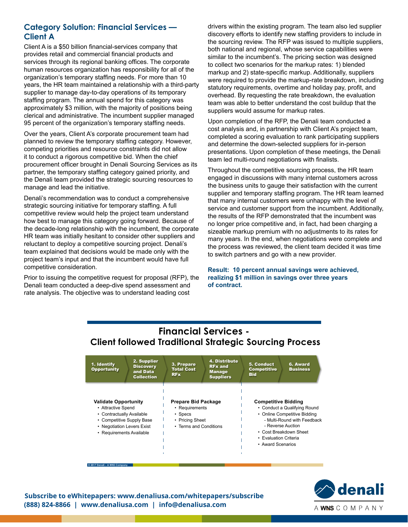#### **Category Solution: Financial Services — Client A**

Client A is a \$50 billion financial-services company that provides retail and commercial financial products and services through its regional banking offices. The corporate human resources organization has responsibility for all of the organization's temporary staffing needs. For more than 10 years, the HR team maintained a relationship with a third-party supplier to manage day-to-day operations of its temporary staffing program. The annual spend for this category was approximately \$3 million, with the majority of positions being clerical and administrative. The incumbent supplier managed 95 percent of the organization's temporary staffing needs.

Over the years, Client A's corporate procurement team had planned to review the temporary staffing category. However, competing priorities and resource constraints did not allow it to conduct a rigorous competitive bid. When the chief procurement officer brought in Denali Sourcing Services as its partner, the temporary staffing category gained priority, and the Denali team provided the strategic sourcing resources to manage and lead the initiative.

Denali's recommendation was to conduct a comprehensive strategic sourcing initiative for temporary staffing. A full competitive review would help the project team understand how best to manage this category going forward. Because of the decade-long relationship with the incumbent, the corporate HR team was initially hesitant to consider other suppliers and reluctant to deploy a competitive sourcing project. Denali's team explained that decisions would be made only with the project team's input and that the incumbent would have full competitive consideration.

Prior to issuing the competitive request for proposal (RFP), the Denali team conducted a deep-dive spend assessment and rate analysis. The objective was to understand leading cost

drivers within the existing program. The team also led supplier discovery efforts to identify new staffing providers to include in the sourcing review. The RFP was issued to multiple suppliers, both national and regional, whose service capabilities were similar to the incumbent's. The pricing section was designed to collect two scenarios for the markup rates: 1) blended markup and 2) state-specific markup. Additionally, suppliers were required to provide the markup-rate breakdown, including statutory requirements, overtime and holiday pay, profit, and overhead. By requesting the rate breakdown, the evaluation team was able to better understand the cost buildup that the suppliers would assume for markup rates.

Upon completion of the RFP, the Denali team conducted a cost analysis and, in partnership with Client A's project team, completed a scoring evaluation to rank participating suppliers and determine the down-selected suppliers for in-person presentations. Upon completion of these meetings, the Denali team led multi-round negotiations with finalists.

Throughout the competitive sourcing process, the HR team engaged in discussions with many internal customers across the business units to gauge their satisfaction with the current supplier and temporary staffing program. The HR team learned that many internal customers were unhappy with the level of service and customer support from the incumbent. Additionally, the results of the RFP demonstrated that the incumbent was no longer price competitive and, in fact, had been charging a sizeable markup premium with no adjustments to its rates for many years. In the end, when negotiations were complete and the process was reviewed, the client team decided it was time to switch partners and go with a new provider.

**Result: 10 percent annual savings were achieved, realizing \$1 million in savings over three years of contract.**

### **Financial Services - Client followed Traditional Strategic Sourcing Process**

| 1. Identify<br><b>Opportunity</b>                                                                                                                                     | 2. Supplier<br><b>Discovery</b><br>and Data<br><b>Collection</b> | 3. Prepare<br><b>Total Cost</b><br><b>RFx</b>                                                       | 4. Distribute<br><b>RFx and</b><br><b>Manage</b><br><b>Suppliers</b> | 5. Conduct<br><b>Competitive</b><br><b>Bid</b>                           | 6. Award<br><b>Business</b>                                                                                                                |
|-----------------------------------------------------------------------------------------------------------------------------------------------------------------------|------------------------------------------------------------------|-----------------------------------------------------------------------------------------------------|----------------------------------------------------------------------|--------------------------------------------------------------------------|--------------------------------------------------------------------------------------------------------------------------------------------|
| <b>Validate Opportunity</b><br>• Attractive Spend<br>• Contractually Available<br>• Competitive Supply Base<br>• Negotiation Levers Exist<br>• Requirements Available |                                                                  | Prepare Bid Package<br>• Requirements<br>$\cdot$ Specs<br>• Pricing Sheet<br>• Terms and Conditions |                                                                      | <b>Competitive Bidding</b><br>• Evaluation Criteria<br>• Award Scenarios | • Conduct a Qualifying Round<br>• Online Competitive Bidding<br>- Multi-Round with Feedback<br>- Reverse Auction<br>• Cost Breakdown Sheet |

**© 2017 Denali – A WNS Company**

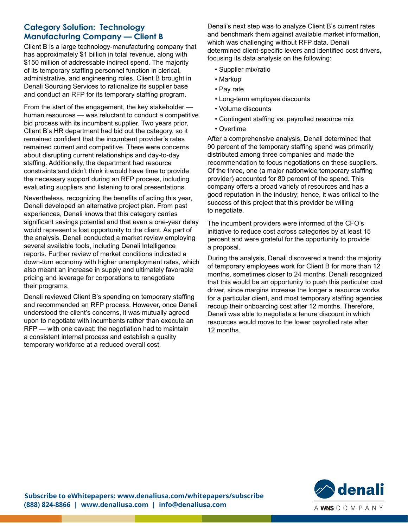#### **Category Solution: Technology Manufacturing Company — Client B**

Client B is a large technology-manufacturing company that has approximately \$1 billion in total revenue, along with \$150 million of addressable indirect spend. The majority of its temporary staffing personnel function in clerical, administrative, and engineering roles. Client B brought in Denali Sourcing Services to rationalize its supplier base and conduct an RFP for its temporary staffing program.

From the start of the engagement, the key stakeholder human resources — was reluctant to conduct a competitive bid process with its incumbent supplier. Two years prior, Client B's HR department had bid out the category, so it remained confident that the incumbent provider's rates remained current and competitive. There were concerns about disrupting current relationships and day-to-day staffing. Additionally, the department had resource constraints and didn't think it would have time to provide the necessary support during an RFP process, including evaluating suppliers and listening to oral presentations.

Nevertheless, recognizing the benefits of acting this year, Denali developed an alternative project plan. From past experiences, Denali knows that this category carries significant savings potential and that even a one-year delay would represent a lost opportunity to the client. As part of the analysis, Denali conducted a market review employing several available tools, including Denali Intelligence reports. Further review of market conditions indicated a down-turn economy with higher unemployment rates, which also meant an increase in supply and ultimately favorable pricing and leverage for corporations to renegotiate their programs.

Denali reviewed Client B's spending on temporary staffing and recommended an RFP process. However, once Denali understood the client's concerns, it was mutually agreed upon to negotiate with incumbents rather than execute an RFP — with one caveat: the negotiation had to maintain a consistent internal process and establish a quality temporary workforce at a reduced overall cost.

Denali's next step was to analyze Client B's current rates and benchmark them against available market information, which was challenging without RFP data. Denali determined client-specific levers and identified cost drivers, focusing its data analysis on the following:

- Supplier mix/ratio
- Markup
- Pay rate
- Long-term employee discounts
- Volume discounts
- Contingent staffing vs. payrolled resource mix
- Overtime

After a comprehensive analysis, Denali determined that 90 percent of the temporary staffing spend was primarily distributed among three companies and made the recommendation to focus negotiations on these suppliers. Of the three, one (a major nationwide temporary staffing provider) accounted for 80 percent of the spend. This company offers a broad variety of resources and has a good reputation in the industry; hence, it was critical to the success of this project that this provider be willing to negotiate.

The incumbent providers were informed of the CFO's initiative to reduce cost across categories by at least 15 percent and were grateful for the opportunity to provide a proposal.

During the analysis, Denali discovered a trend: the majority of temporary employees work for Client B for more than 12 months, sometimes closer to 24 months. Denali recognized that this would be an opportunity to push this particular cost driver, since margins increase the longer a resource works for a particular client, and most temporary staffing agencies recoup their onboarding cost after 12 months. Therefore, Denali was able to negotiate a tenure discount in which resources would move to the lower payrolled rate after 12 months.

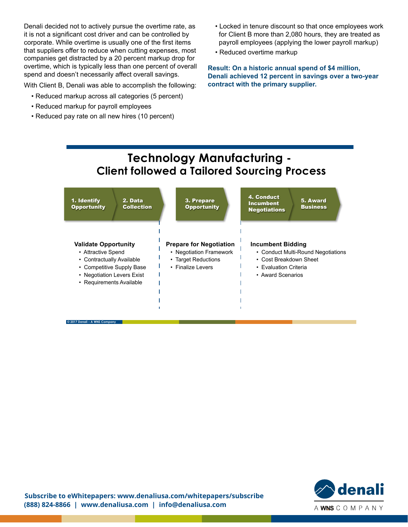Denali decided not to actively pursue the overtime rate, as it is not a significant cost driver and can be controlled by corporate. While overtime is usually one of the first items that suppliers offer to reduce when cutting expenses, most companies get distracted by a 20 percent markup drop for overtime, which is typically less than one percent of overall spend and doesn't necessarily affect overall savings.

With Client B, Denali was able to accomplish the following:

- Reduced markup across all categories (5 percent)
- Reduced markup for payroll employees
- Reduced pay rate on all new hires (10 percent)
- Locked in tenure discount so that once employees work for Client B more than 2,080 hours, they are treated as payroll employees (applying the lower payroll markup)
- Reduced overtime markup

**Result: On a historic annual spend of \$4 million, Denali achieved 12 percent in savings over a two-year contract with the primary supplier.**

## **Technology Manufacturing - Client followed a Tailored Sourcing Process**



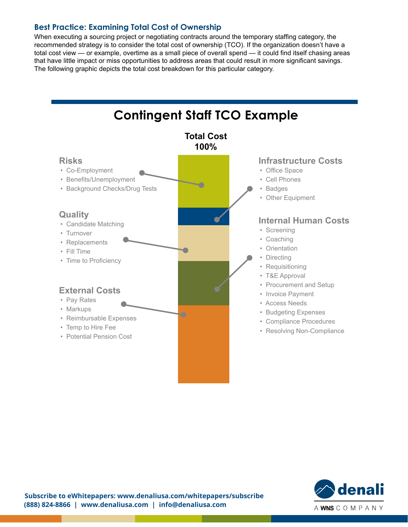#### **Best Practice: Examining Total Cost of Ownership**

When executing a sourcing project or negotiating contracts around the temporary staffing category, the recommended strategy is to consider the total cost of ownership (TCO). If the organization doesn't have a total cost view — or example, overtime as a small piece of overall spend — it could find itself chasing areas that have little impact or miss opportunities to address areas that could result in more significant savings. The following graphic depicts the total cost breakdown for this particular category.